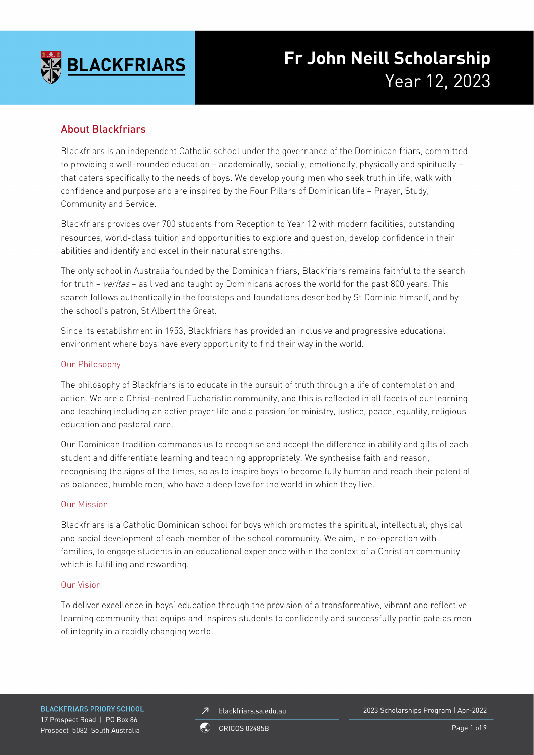

# **Fr John Neill Scholarship** Year 12, 2023

# About Blackfriars

Blackfriars is an independent Catholic school under the governance of the Dominican friars, committed to providing a well-rounded education – academically, socially, emotionally, physically and spiritually – that caters specifically to the needs of boys. We develop young men who seek truth in life, walk with confidence and purpose and are inspired by the Four Pillars of Dominican life – Prayer, Study, Community and Service.

Blackfriars provides over 700 students from Reception to Year 12 with modern facilities, outstanding resources, world-class tuition and opportunities to explore and question, develop confidence in their abilities and identify and excel in their natural strengths.

The only school in Australia founded by the Dominican friars, Blackfriars remains faithful to the search for truth – veritas – as lived and taught by Dominicans across the world for the past 800 years. This search follows authentically in the footsteps and foundations described by St Dominic himself, and by the school's patron, St Albert the Great.

Since its establishment in 1953, Blackfriars has provided an inclusive and progressive educational environment where boys have every opportunity to find their way in the world.

### Our Philosophy

The philosophy of Blackfriars is to educate in the pursuit of truth through a life of contemplation and action. We are a Christ-centred Eucharistic community, and this is reflected in all facets of our learning and teaching including an active prayer life and a passion for ministry, justice, peace, equality, religious education and pastoral care.

Our Dominican tradition commands us to recognise and accept the difference in ability and gifts of each student and differentiate learning and teaching appropriately. We synthesise faith and reason, recognising the signs of the times, so as to inspire boys to become fully human and reach their potential as balanced, humble men, who have a deep love for the world in which they live.

### Our Mission

Blackfriars is a Catholic Dominican school for boys which promotes the spiritual, intellectual, physical and social development of each member of the school community. We aim, in co-operation with families, to engage students in an educational experience within the context of a Christian community which is fulfilling and rewarding.

### Our Vision

To deliver excellence in boys' education through the provision of a transformative, vibrant and reflective learning community that equips and inspires students to confidently and successfully participate as men of integrity in a rapidly changing world.

**BLACKFRIARS PRIORY SCHOOL** 17 Prospect Road | PO Box 86 Prospect 5082 South Australia

blackfriars.sa.edu.au  $\overline{\mathbf{z}}$ 

2023 Scholarships Program | Apr-2022

**CRICOS 02485B** 

Page 1 of 9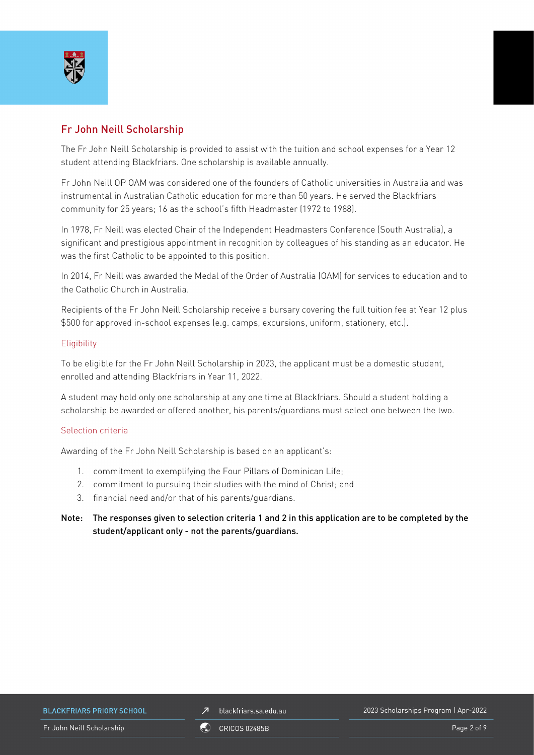

# Fr John Neill Scholarship

The Fr John Neill Scholarship is provided to assist with the tuition and school expenses for a Year 12 student attending Blackfriars. One scholarship is available annually.

Fr John Neill OP OAM was considered one of the founders of Catholic universities in Australia and was instrumental in Australian Catholic education for more than 50 years. He served the Blackfriars community for 25 years; 16 as the school's fifth Headmaster (1972 to 1988).

In 1978, Fr Neill was elected Chair of the Independent Headmasters Conference (South Australia), a significant and prestigious appointment in recognition by colleagues of his standing as an educator. He was the first Catholic to be appointed to this position.

In 2014, Fr Neill was awarded the Medal of the Order of Australia (OAM) for services to education and to the Catholic Church in Australia.

Recipients of the Fr John Neill Scholarship receive a bursary covering the full tuition fee at Year 12 plus \$500 for approved in-school expenses (e.g. camps, excursions, uniform, stationery, etc.).

### **Eligibility**

To be eligible for the Fr John Neill Scholarship in 2023, the applicant must be a domestic student, enrolled and attending Blackfriars in Year 11, 2022.

A student may hold only one scholarship at any one time at Blackfriars. Should a student holding a scholarship be awarded or offered another, his parents/guardians must select one between the two.

### Selection criteria

Awarding of the Fr John Neill Scholarship is based on an applicant's:

- 1. commitment to exemplifying the Four Pillars of Dominican Life;
- 2. commitment to pursuing their studies with the mind of Christ; and
- 3. financial need and/or that of his parents/guardians.
- Note: The responses given to selection criteria 1 and 2 in this application are to be completed by the student/applicant only - not the parents/guardians.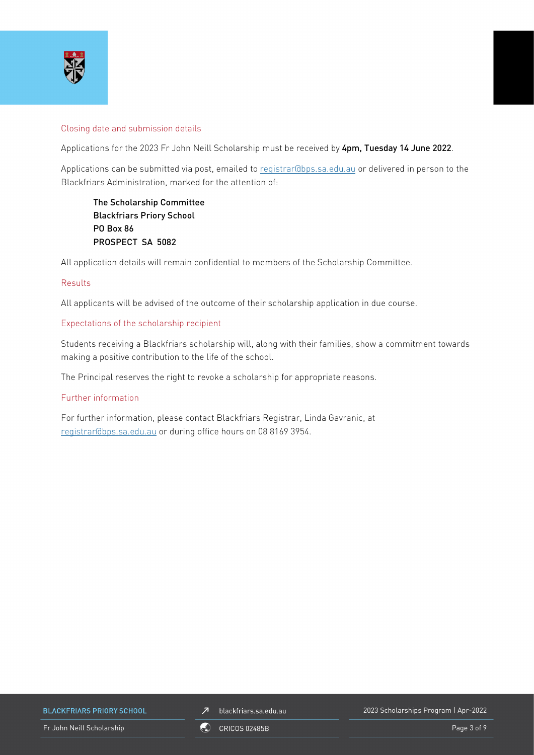

#### Closing date and submission details

Applications for the 2023 Fr John Neill Scholarship must be received by 4pm, Tuesday 14 June 2022.

Applications can be submitted via post, emailed to [registrar@bps.sa.edu.au](mailto:registrar@bps.sa.edu.au) or delivered in person to the Blackfriars Administration, marked for the attention of:

The Scholarship Committee Blackfriars Priory School PO Box 86 PROSPECT SA 5082

All application details will remain confidential to members of the Scholarship Committee.

### Results

All applicants will be advised of the outcome of their scholarship application in due course.

#### Expectations of the scholarship recipient

Students receiving a Blackfriars scholarship will, along with their families, show a commitment towards making a positive contribution to the life of the school.

The Principal reserves the right to revoke a scholarship for appropriate reasons.

#### Further information

For further information, please contact Blackfriars Registrar, Linda Gavranic, at [registrar@bps.sa.edu.au](mailto:registrar@bps.sa.edu.au) or during office hours on 08 8169 3954.

**BLACKFRIARS PRIORY SCHOOL** 

Fr John Neill Scholarship **Page 3 of 9** CRICOS 02485B **Page 3 of 9** Page 3 of 9

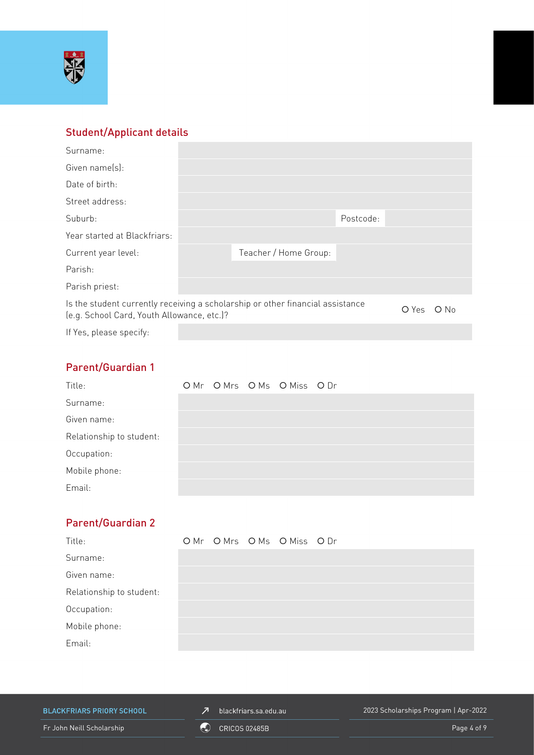

# Student/Applicant details

| Surname:                                                                                                                     |  |                       |           |  |        |
|------------------------------------------------------------------------------------------------------------------------------|--|-----------------------|-----------|--|--------|
| Given name(s):                                                                                                               |  |                       |           |  |        |
| Date of birth:                                                                                                               |  |                       |           |  |        |
| Street address:                                                                                                              |  |                       |           |  |        |
| Suburb:                                                                                                                      |  |                       | Postcode: |  |        |
| Year started at Blackfriars:                                                                                                 |  |                       |           |  |        |
| Current year level:                                                                                                          |  | Teacher / Home Group: |           |  |        |
| Parish:                                                                                                                      |  |                       |           |  |        |
| Parish priest:                                                                                                               |  |                       |           |  |        |
| Is the student currently receiving a scholarship or other financial assistance<br>(e.g. School Card, Youth Allowance, etc.)? |  |                       |           |  | $O$ No |
| If Yes, please specify:                                                                                                      |  |                       |           |  |        |

# Parent/Guardian 1

| Title:                   |  | OMr OMrs OMs OMiss ODr |  |
|--------------------------|--|------------------------|--|
| Surname:                 |  |                        |  |
| Given name:              |  |                        |  |
| Relationship to student: |  |                        |  |
| Occupation:              |  |                        |  |
| Mobile phone:            |  |                        |  |
| Email:                   |  |                        |  |

# Parent/Guardian 2

| Title:                   |  | OMr OMrs OMs OMiss ODr |  |
|--------------------------|--|------------------------|--|
| Surname:                 |  |                        |  |
| Given name:              |  |                        |  |
| Relationship to student: |  |                        |  |
| Occupation:              |  |                        |  |
| Mobile phone:            |  |                        |  |
| Email:                   |  |                        |  |

**BLACKFRIARS PRIORY SCHOOL** 

 $\n *J*\n blackfriars.sa.edu.au\n$ 

2023 Scholarships Program | Apr-2022

Fr John Neill Scholarship **Community** CRICOS 02485B Page 4 of 9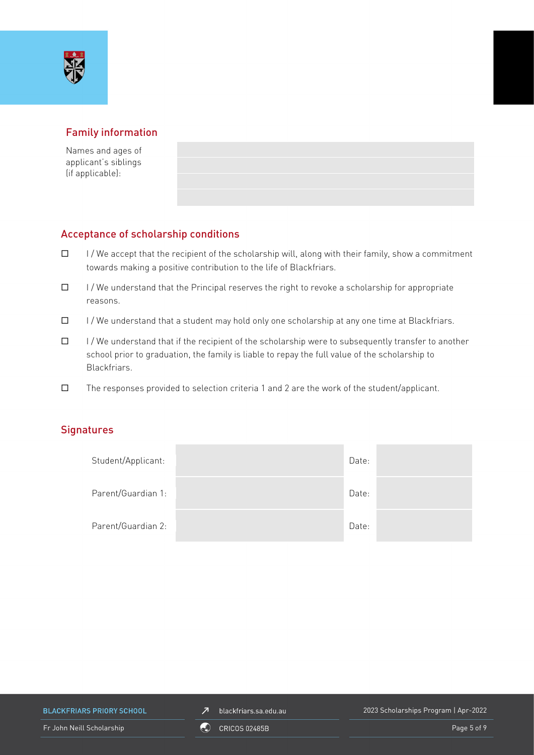

# Family information

Names and ages of applicant's siblings (if applicable):

# Acceptance of scholarship conditions

- $\Box$  I/We accept that the recipient of the scholarship will, along with their family, show a commitment towards making a positive contribution to the life of Blackfriars.
- $\Box$  I/We understand that the Principal reserves the right to revoke a scholarship for appropriate reasons.
- $\Box$  I/We understand that a student may hold only one scholarship at any one time at Blackfriars.
- $\Box$  I/We understand that if the recipient of the scholarship were to subsequently transfer to another school prior to graduation, the family is liable to repay the full value of the scholarship to Blackfriars.
- $\square$  The responses provided to selection criteria 1 and 2 are the work of the student/applicant.

### **Signatures**

| Student/Applicant: | Date: |  |
|--------------------|-------|--|
| Parent/Guardian 1: | Date: |  |
| Parent/Guardian 2: | Date: |  |

**BLACKFRIARS PRIORY SCHOOL** 

 $\n *J*\n blackfriars.sa.edu.au\n$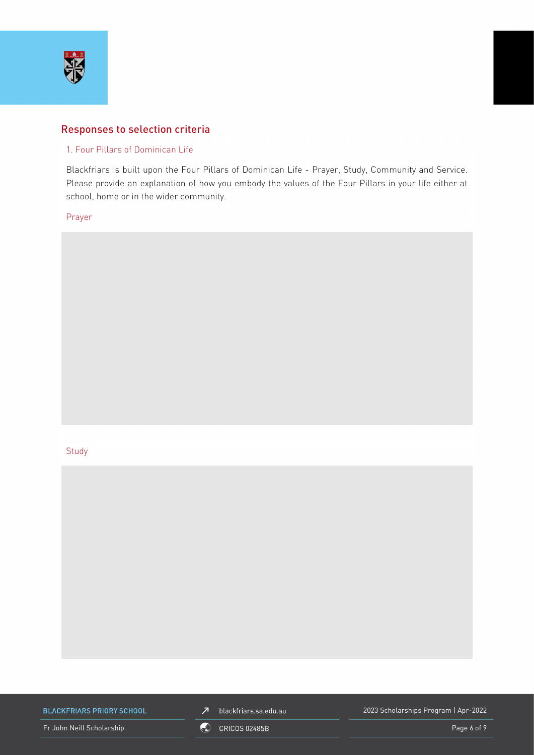

### Responses to selection criteria

### 1. Four Pillars of Dominican Life

Blackfriars is built upon the Four Pillars of Dominican Life - Prayer, Study, Community and Service. Please provide an explanation of how you embody the values of the Four Pillars in your life either at school, home or in the wider community.

Prayer

#### **Study**



**BLACKFRIARS PRIORY SCHOOL** 

Fr John Neill Scholarship **Community** CRICOS 02485B Page 6 of 9



2023 Scholarships Program | Apr-2022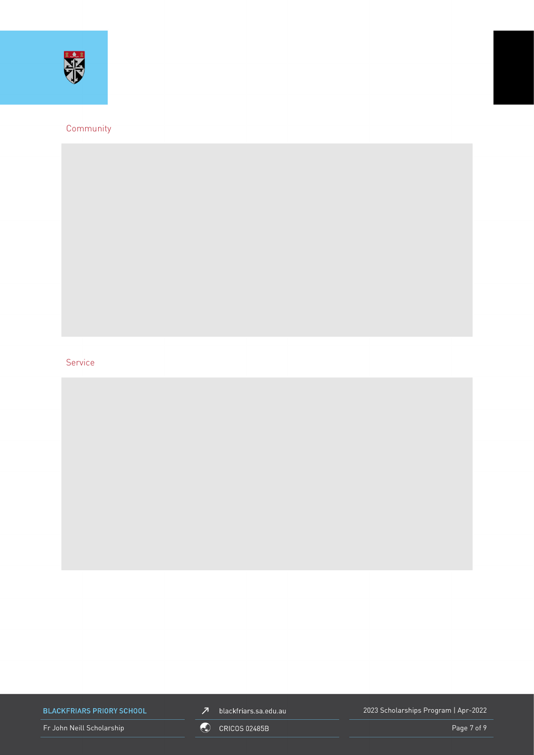

### Community

### Service

**BLACKFRIARS PRIORY SCHOOL** 

Fr John Neill Scholarship **Community** CRICOS 02485B **Page 7 of 9** and 2011 12:30 Page 7 of 9



2023 Scholarships Program | Apr-2022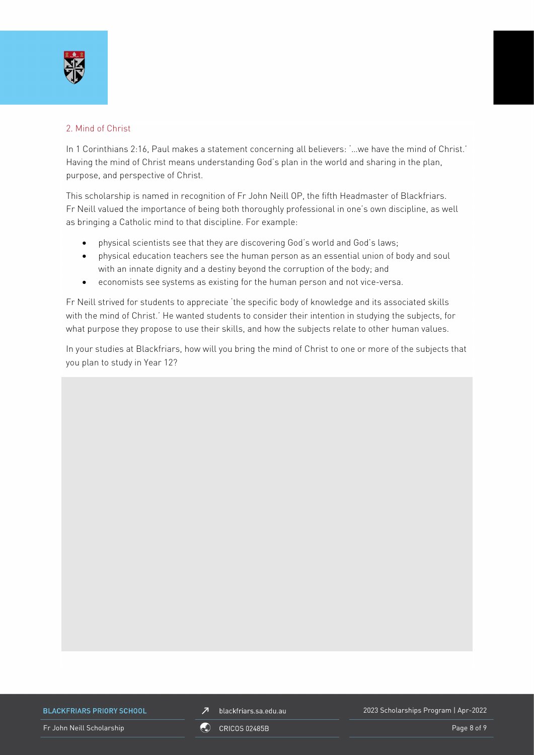

### 2. Mind of Christ

In 1 Corinthians 2:16, Paul makes a statement concerning all believers: '...we have the mind of Christ.' Having the mind of Christ means understanding God's plan in the world and sharing in the plan, purpose, and perspective of Christ.

This scholarship is named in recognition of Fr John Neill OP, the fifth Headmaster of Blackfriars. Fr Neill valued the importance of being both thoroughly professional in one's own discipline, as well as bringing a Catholic mind to that discipline. For example:

- physical scientists see that they are discovering God's world and God's laws;
- physical education teachers see the human person as an essential union of body and soul with an innate dignity and a destiny beyond the corruption of the body; and
- economists see systems as existing for the human person and not vice-versa.

Fr Neill strived for students to appreciate 'the specific body of knowledge and its associated skills with the mind of Christ.' He wanted students to consider their intention in studying the subjects, for what purpose they propose to use their skills, and how the subjects relate to other human values.

In your studies at Blackfriars, how will you bring the mind of Christ to one or more of the subjects that you plan to study in Year 12?

**BLACKFRIARS PRIORY SCHOOL** 

 $\overline{\mathcal{L}}$ blackfriars.sa.edu.au 2023 Scholarships Program | Apr-2022

Fr John Neill Scholarship **Page 8 of 9** CRICOS 02485B **Page 8 of 9** Page 8 of 9